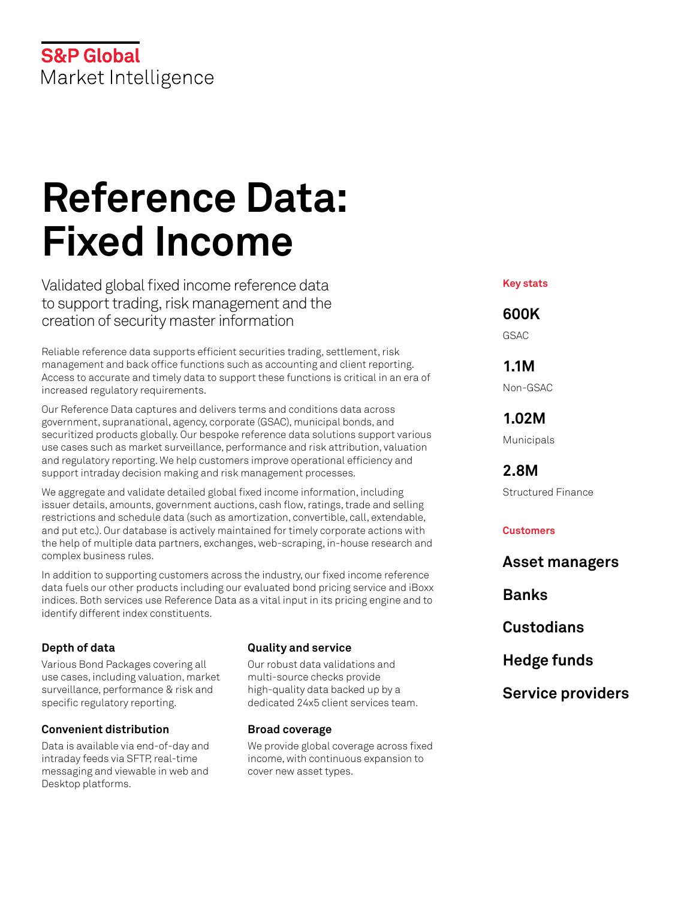## **S&P Global** Market Intelligence

# **Reference Data: Fixed Income**

Validated global fixed income reference data to support trading, risk management and the creation of security master information

Reliable reference data supports efficient securities trading, settlement, risk management and back office functions such as accounting and client reporting. Access to accurate and timely data to support these functions is critical in an era of increased regulatory requirements.

Our Reference Data captures and delivers terms and conditions data across government, supranational, agency, corporate (GSAC), municipal bonds, and securitized products globally. Our bespoke reference data solutions support various use cases such as market surveillance, performance and risk attribution, valuation and regulatory reporting. We help customers improve operational efficiency and support intraday decision making and risk management processes.

We aggregate and validate detailed global fixed income information, including issuer details, amounts, government auctions, cash flow, ratings, trade and selling restrictions and schedule data (such as amortization, convertible, call, extendable, and put etc.). Our database is actively maintained for timely corporate actions with the help of multiple data partners, exchanges, web-scraping, in-house research and complex business rules.

In addition to supporting customers across the industry, our fixed income reference data fuels our other products including our evaluated bond pricing service and iBoxx indices. Both services use Reference Data as a vital input in its pricing engine and to identify different index constituents.

#### **Depth of data**

Various Bond Packages covering all use cases, including valuation, market surveillance, performance & risk and specific regulatory reporting.

#### **Convenient distribution**

Data is available via end-of-day and intraday feeds via SFTP, real-time messaging and viewable in web and Desktop platforms.

#### **Quality and service**

Our robust data validations and multi-source checks provide high-quality data backed up by a dedicated 24x5 client services team.

#### **Broad coverage**

We provide global coverage across fixed income, with continuous expansion to cover new asset types.

**Key stats**

### **600K**

GSAC

**1.1M** Non-GSAC

**1.02M** Municipals

**2.8M** Structured Finance

#### **Customers**

**Asset managers Banks Custodians Hedge funds Service providers**